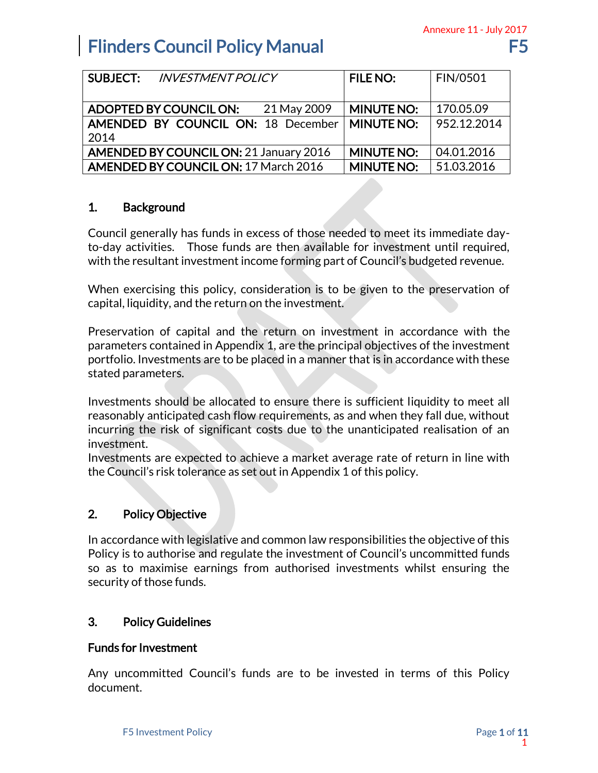|                                                                                                                                                                      |                                        | Annexure 11 - July 2017  |  |  |
|----------------------------------------------------------------------------------------------------------------------------------------------------------------------|----------------------------------------|--------------------------|--|--|
| <b>Flinders Council Policy Manual</b>                                                                                                                                |                                        | F5                       |  |  |
|                                                                                                                                                                      |                                        |                          |  |  |
| <b>SUBJECT:</b><br><b>INVESTMENT POLICY</b>                                                                                                                          | <b>FILE NO:</b>                        | FIN/0501                 |  |  |
|                                                                                                                                                                      |                                        |                          |  |  |
| <b>ADOPTED BY COUNCIL ON:</b><br>21 May 2009<br>AMENDED BY COUNCIL ON: 18 December                                                                                   | <b>MINUTE NO:</b><br><b>MINUTE NO:</b> | 170.05.09<br>952.12.2014 |  |  |
| 2014                                                                                                                                                                 |                                        |                          |  |  |
| <b>AMENDED BY COUNCIL ON: 21 January 2016</b>                                                                                                                        | <b>MINUTE NO:</b>                      | 04.01.2016               |  |  |
| <b>AMENDED BY COUNCIL ON: 17 March 2016</b>                                                                                                                          | <b>MINUTE NO:</b>                      | 51.03.2016               |  |  |
|                                                                                                                                                                      |                                        |                          |  |  |
| 1.<br><b>Background</b>                                                                                                                                              |                                        |                          |  |  |
|                                                                                                                                                                      |                                        |                          |  |  |
| Council generally has funds in excess of those needed to meet its immediate day-<br>to-day activities. Those funds are then available for investment until required, |                                        |                          |  |  |
| with the resultant investment income forming part of Council's budgeted revenue.                                                                                     |                                        |                          |  |  |
|                                                                                                                                                                      |                                        |                          |  |  |
| When exercising this policy, consideration is to be given to the preservation of                                                                                     |                                        |                          |  |  |
| capital, liquidity, and the return on the investment.                                                                                                                |                                        |                          |  |  |
| Preservation of capital and the return on investment in accordance with the                                                                                          |                                        |                          |  |  |
| parameters contained in Appendix 1, are the principal objectives of the investment                                                                                   |                                        |                          |  |  |
| portfolio. Investments are to be placed in a manner that is in accordance with these                                                                                 |                                        |                          |  |  |
| stated parameters.                                                                                                                                                   |                                        |                          |  |  |
| Investments should be allocated to ensure there is sufficient liquidity to meet all                                                                                  |                                        |                          |  |  |
| reasonably anticipated cash flow requirements, as and when they fall due, without                                                                                    |                                        |                          |  |  |
| incurring the risk of significant costs due to the unanticipated realisation of an                                                                                   |                                        |                          |  |  |
| investment.                                                                                                                                                          |                                        |                          |  |  |
| Investments are expected to achieve a market average rate of return in line with<br>the Council's risk tolerance as set out in Appendix 1 of this policy.            |                                        |                          |  |  |
|                                                                                                                                                                      |                                        |                          |  |  |
|                                                                                                                                                                      |                                        |                          |  |  |
| <b>Policy Objective</b><br>2.                                                                                                                                        |                                        |                          |  |  |
| In accordance with legislative and common law responsibilities the objective of this                                                                                 |                                        |                          |  |  |
| Policy is to authorise and regulate the investment of Council's uncommitted funds                                                                                    |                                        |                          |  |  |
| so as to maximise earnings from authorised investments whilst ensuring the                                                                                           |                                        |                          |  |  |
| security of those funds.                                                                                                                                             |                                        |                          |  |  |
|                                                                                                                                                                      |                                        |                          |  |  |
| З.<br><b>Policy Guidelines</b>                                                                                                                                       |                                        |                          |  |  |
|                                                                                                                                                                      |                                        |                          |  |  |
| <b>Funds for Investment</b>                                                                                                                                          |                                        |                          |  |  |
| Any uncommitted Council's funds are to be invested in terms of this Policy                                                                                           |                                        |                          |  |  |
| document.                                                                                                                                                            |                                        |                          |  |  |
|                                                                                                                                                                      |                                        |                          |  |  |
|                                                                                                                                                                      |                                        |                          |  |  |
| F5 Investment Policy                                                                                                                                                 |                                        | Page 1 of 11             |  |  |

## 1. Background

## 2. Policy Objective

## 3. Policy Guidelines

## Funds for Investment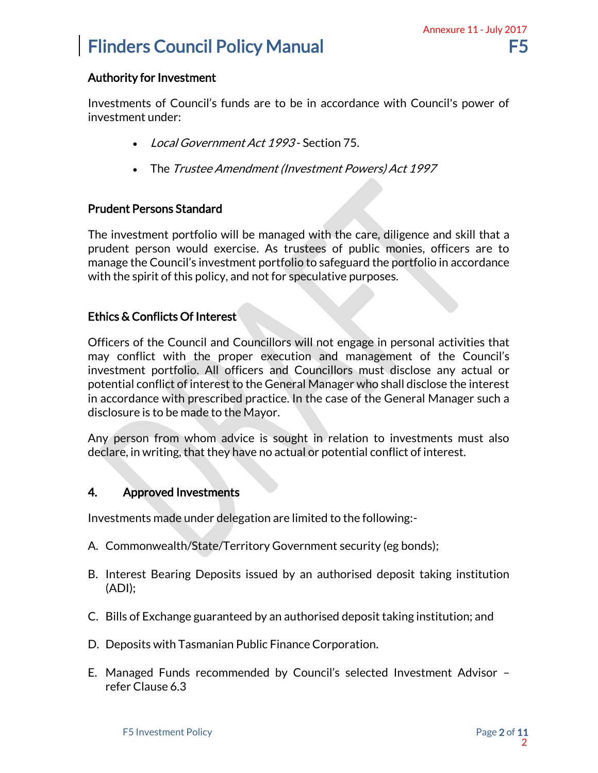### Authority for Investment

Investments of Council's funds are to be in accordance with Council's power of investment under:

- Local Government Act 1993 Section 75.
- The Trustee Amendment (Investment Powers) Act 1997

## Prudent Persons Standard

The investment portfolio will be managed with the care, diligence and skill that a prudent person would exercise. As trustees of public monies, officers are to manage the Council's investment portfolio to safeguard the portfolio in accordance with the spirit of this policy, and not for speculative purposes.

## Ethics & Conflicts Of Interest

Officers of the Council and Councillors will not engage in personal activities that may conflict with the proper execution and management of the Council's investment portfolio. All officers and Councillors must disclose any actual or potential conflict of interest to the General Manager who shall disclose the interest in accordance with prescribed practice. In the case of the General Manager such a disclosure is to be made to the Mayor. Annexure 11 - July 2017<br>
F5<br>
buncil's power of<br>
e and skill that a<br>
officers are to<br>
lio in accordance<br>
and activities that<br>
and activities that<br>
of the Council's<br>
ise any actual or<br>
close the interest<br>
Manager such a<br>
men

Any person from whom advice is sought in relation to investments must also declare, in writing, that they have no actual or potential conflict of interest.

## 4. Approved Investments

Investments made under delegation are limited to the following:-

- A. Commonwealth/State/Territory Government security (eg bonds);
- B. Interest Bearing Deposits issued by an authorised deposit taking institution (ADI);
- C. Bills of Exchange guaranteed by an authorised deposit taking institution; and
- D. Deposits with Tasmanian Public Finance Corporation.
- E. Managed Funds recommended by Council's selected Investment Advisor refer Clause 6.3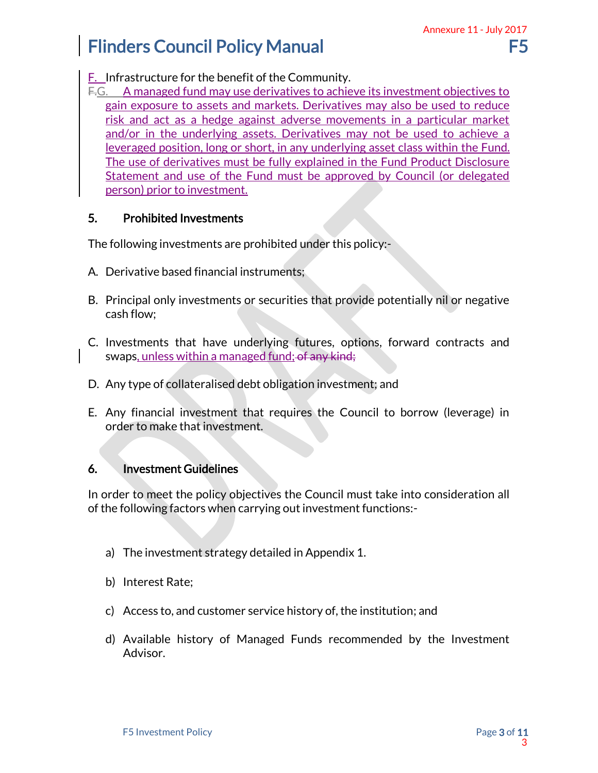F. Infrastructure for the benefit of the Community.

F.G. A managed fund may use derivatives to achieve its investment objectives to gain exposure to assets and markets. Derivatives may also be used to reduce risk and act as a hedge against adverse movements in a particular market and/or in the underlying assets. Derivatives may not be used to achieve a leveraged position, long or short, in any underlying asset class within the Fund. The use of derivatives must be fully explained in the Fund Product Disclosure Statement and use of the Fund must be approved by Council (or delegated person) prior to investment. Annexure 11 - July 2017<br>
F5<br>
ent objectives to<br>
e used to reduce<br>
articular market<br>
sed to achieve a<br>
within the Fund.<br>
oduct Disclosure<br>
cil (or delegated<br>
cil (or delegated<br>
d contracts and<br>
ow (leverage) in<br>
considerati

## 5. Prohibited Investments

The following investments are prohibited under this policy:-

- A. Derivative based financial instruments;
- B. Principal only investments or securities that provide potentially nil or negative cash flow;
- C. Investments that have underlying futures, options, forward contracts and swaps, unless within a managed fund; of any kind;
- D. Any type of collateralised debt obligation investment; and
- E. Any financial investment that requires the Council to borrow (leverage) in order to make that investment.

## 6. Investment Guidelines

In order to meet the policy objectives the Council must take into consideration all of the following factors when carrying out investment functions:-

- a) The investment strategy detailed in Appendix 1.
- b) Interest Rate;
- c) Access to, and customer service history of, the institution; and
- d) Available history of Managed Funds recommended by the Investment Advisor.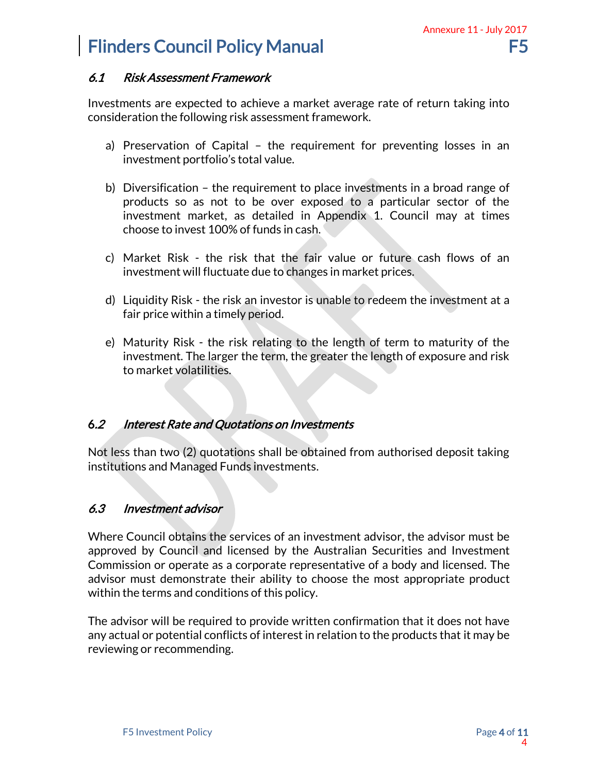### 6.1 Risk Assessment Framework

Investments are expected to achieve a market average rate of return taking into consideration the following risk assessment framework.

- a) Preservation of Capital the requirement for preventing losses in an investment portfolio's total value.
- b) Diversification the requirement to place investments in a broad range of products so as not to be over exposed to a particular sector of the investment market, as detailed in Appendix 1. Council may at times choose to invest 100% of funds in cash.
- c) Market Risk the risk that the fair value or future cash flows of an investment will fluctuate due to changes in market prices.
- d) Liquidity Risk the risk an investor is unable to redeem the investment at a fair price within a timely period.
- e) Maturity Risk the risk relating to the length of term to maturity of the investment. The larger the term, the greater the length of exposure and risk to market volatilities.

### 6.2 Interest Rate and Quotations on Investments

Not less than two (2) quotations shall be obtained from authorised deposit taking institutions and Managed Funds investments.

## 6.3 Investment advisor

Where Council obtains the services of an investment advisor, the advisor must be approved by Council and licensed by the Australian Securities and Investment Commission or operate as a corporate representative of a body and licensed. The advisor must demonstrate their ability to choose the most appropriate product within the terms and conditions of this policy. Annexure 11 - July 2017<br>
F5<br>
Eturn taking into<br>
ing losses in an<br>
a broad range of<br>
ar sector of the<br>
il may at times<br>
ash flows of an<br>
einvestment at a<br>
einvestment at a<br>
end risk<br>
exposure and risk<br>
ed deposit taking<br>
ed

The advisor will be required to provide written confirmation that it does not have any actual or potential conflicts of interest in relation to the products that it may be reviewing or recommending.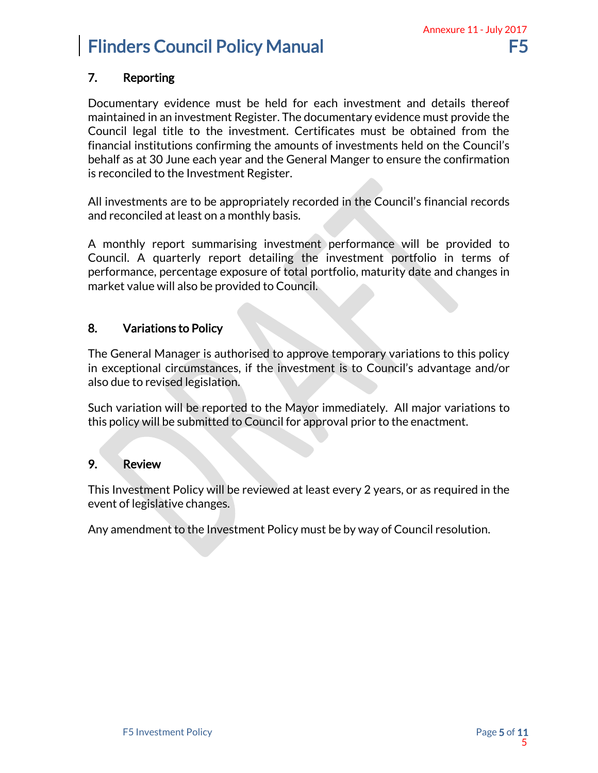## 7. Reporting

Documentary evidence must be held for each investment and details thereof maintained in an investment Register. The documentary evidence must provide the Council legal title to the investment. Certificates must be obtained from the financial institutions confirming the amounts of investments held on the Council's behalf as at 30 June each year and the General Manger to ensure the confirmation is reconciled to the Investment Register. Annexure 11 - July 2017<br>
F5<br>
d details thereof<br>
tained from the<br>
on the Council's<br>
the confirmation<br>
financial records<br>
be provided to<br>
lio in terms of<br>
the and changes in<br>
ons to this policy<br>
dvantage and/or<br>
ajor variati

All investments are to be appropriately recorded in the Council's financial records and reconciled at least on a monthly basis.

A monthly report summarising investment performance will be provided to Council. A quarterly report detailing the investment portfolio in terms of performance, percentage exposure of total portfolio, maturity date and changes in market value will also be provided to Council.

### 8. Variations to Policy

The General Manager is authorised to approve temporary variations to this policy in exceptional circumstances, if the investment is to Council's advantage and/or also due to revised legislation.

Such variation will be reported to the Mayor immediately. All major variations to this policy will be submitted to Council for approval prior to the enactment.

### 9. Review

This Investment Policy will be reviewed at least every 2 years, or as required in the event of legislative changes.

Any amendment to the Investment Policy must be by way of Council resolution.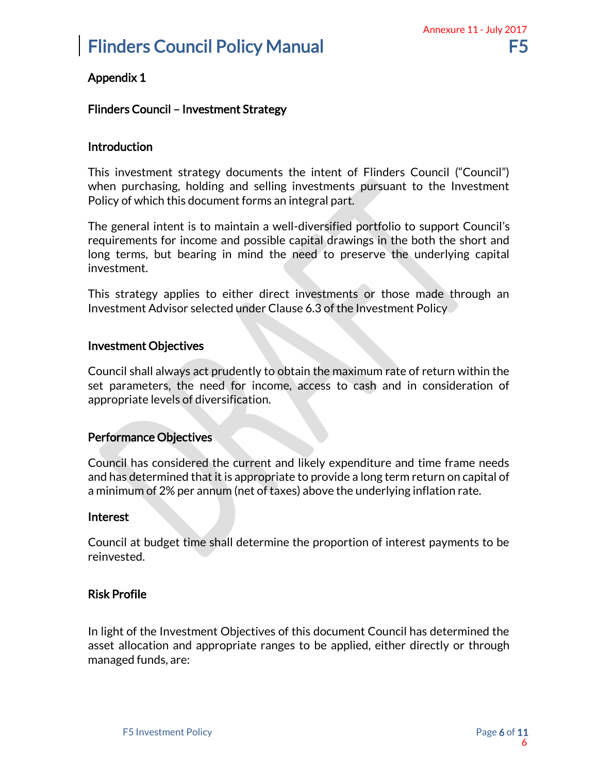## Appendix 1

### Flinders Council – Investment Strategy

#### **Introduction**

This investment strategy documents the intent of Flinders Council ("Council") when purchasing, holding and selling investments pursuant to the Investment Policy of which this document forms an integral part.

The general intent is to maintain a well-diversified portfolio to support Council's requirements for income and possible capital drawings in the both the short and long terms, but bearing in mind the need to preserve the underlying capital investment. Annexure 11 - July 2017<br>
F5<br>
Unitary 11 - July 2017<br>
the Investment<br>
Unitary the Short and<br>
Inderlying capital<br>
nade through an<br>
olicy<br>
return within the<br>
consideration of<br>
the consideration of<br>
flation rate.<br>
the payments

This strategy applies to either direct investments or those made through an Investment Advisor selected under Clause 6.3 of the Investment Policy

#### Investment Objectives

Council shall always act prudently to obtain the maximum rate of return within the set parameters, the need for income, access to cash and in consideration of appropriate levels of diversification.

#### Performance Objectives

Council has considered the current and likely expenditure and time frame needs and has determined that it is appropriate to provide a long term return on capital of a minimum of 2% per annum (net of taxes) above the underlying inflation rate.

#### Interest

Council at budget time shall determine the proportion of interest payments to be reinvested.

### Risk Profile

In light of the Investment Objectives of this document Council has determined the asset allocation and appropriate ranges to be applied, either directly or through managed funds, are: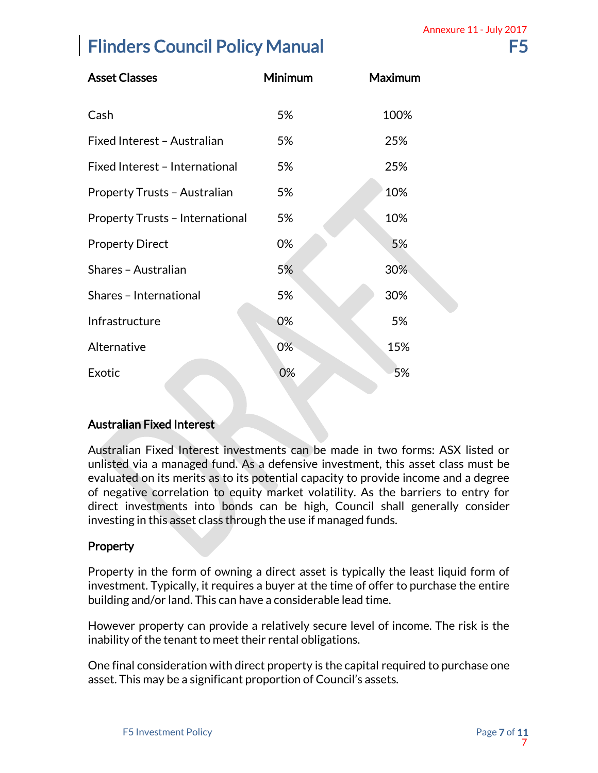| <b>Asset Classes</b>                   | Minimum | <b>Maximum</b> |
|----------------------------------------|---------|----------------|
| Cash                                   | 5%      | 100%           |
| Fixed Interest - Australian            | 5%      | 25%            |
| Fixed Interest - International         | 5%      | 25%            |
| Property Trusts - Australian           | 5%      | 10%            |
| <b>Property Trusts - International</b> | 5%      | 10%            |
| <b>Property Direct</b>                 | 0%      | 5%             |
| Shares - Australian                    | 5%      | 30%            |
| Shares - International                 | 5%      | 30%            |
| Infrastructure                         | 0%      | 5%             |
| Alternative                            | 0%      | 15%            |
| Exotic                                 | 0%      | 5%             |

### Australian Fixed Interest

Australian Fixed Interest investments can be made in two forms: ASX listed or unlisted via a managed fund. As a defensive investment, this asset class must be evaluated on its merits as to its potential capacity to provide income and a degree of negative correlation to equity market volatility. As the barriers to entry for direct investments into bonds can be high, Council shall generally consider investing in this asset class through the use if managed funds. Annexure 11 - July 2017<br>
F5<br>
Ins: ASX listed or<br>
iers to entry for<br>
iers to entry for<br>
nerally consider<br>
Inst liquid form of<br>
Inst liquid form of<br>
e. The risk is the<br>
Ito purchase one<br>
Page 7 of 17

### Property

Property in the form of owning a direct asset is typically the least liquid form of investment. Typically, it requires a buyer at the time of offer to purchase the entire building and/or land. This can have a considerable lead time.

However property can provide a relatively secure level of income. The risk is the inability of the tenant to meet their rental obligations.

One final consideration with direct property is the capital required to purchase one asset. This may be a significant proportion of Council's assets.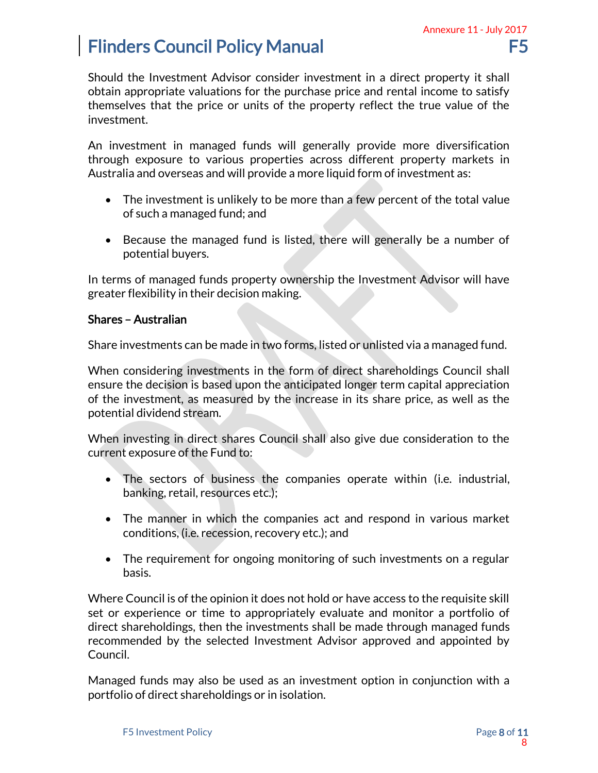Should the Investment Advisor consider investment in a direct property it shall obtain appropriate valuations for the purchase price and rental income to satisfy themselves that the price or units of the property reflect the true value of the investment.

An investment in managed funds will generally provide more diversification through exposure to various properties across different property markets in Australia and overseas and will provide a more liquid form of investment as:

- The investment is unlikely to be more than a few percent of the total value of such a managed fund; and
- Because the managed fund is listed, there will generally be a number of potential buyers.

In terms of managed funds property ownership the Investment Advisor will have greater flexibility in their decision making.

#### Shares – Australian

Share investments can be made in two forms, listed or unlisted via a managed fund.

When considering investments in the form of direct shareholdings Council shall ensure the decision is based upon the anticipated longer term capital appreciation of the investment, as measured by the increase in its share price, as well as the potential dividend stream.

When investing in direct shares Council shall also give due consideration to the current exposure of the Fund to:

- The sectors of business the companies operate within (i.e. industrial, banking, retail, resources etc.);
- The manner in which the companies act and respond in various market conditions, (i.e. recession, recovery etc.); and
- The requirement for ongoing monitoring of such investments on a regular basis.

Where Council is of the opinion it does not hold or have access to the requisite skill set or experience or time to appropriately evaluate and monitor a portfolio of direct shareholdings, then the investments shall be made through managed funds recommended by the selected Investment Advisor approved and appointed by Council. Annexure 11 - July 2017<br>
F5<br>
property it shall<br>
ncome to satisfy<br>
rue value of the<br>
e diversification<br>
erty markets in<br>
tment as:<br>
of the total value<br>
be a number of<br>
Advisor will have<br>
a managed fund.<br>
a managed fund.<br>
e,

Managed funds may also be used as an investment option in conjunction with a portfolio of direct shareholdings or in isolation.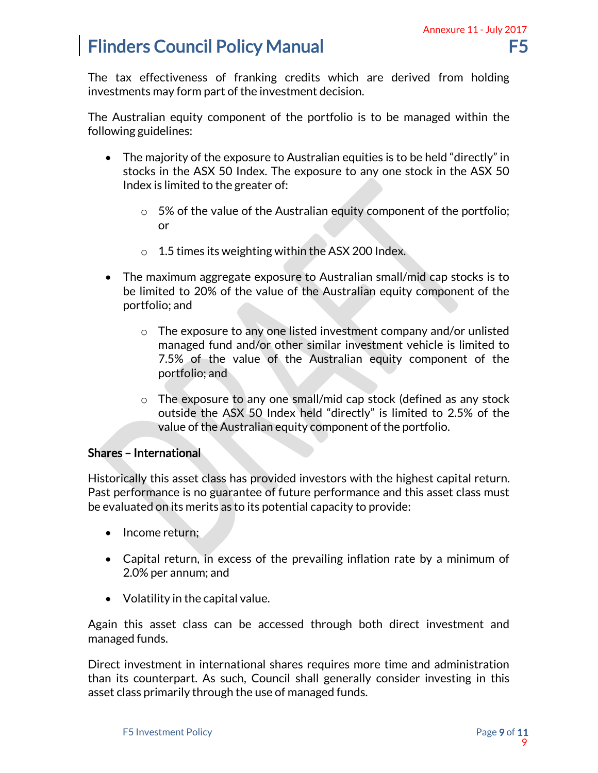The tax effectiveness of franking credits which are derived from holding investments may form part of the investment decision.

The Australian equity component of the portfolio is to be managed within the following guidelines:

- The majority of the exposure to Australian equities is to be held "directly" in stocks in the ASX 50 Index. The exposure to any one stock in the ASX 50 Index is limited to the greater of:
	- $\circ$  5% of the value of the Australian equity component of the portfolio; or
	- o 1.5 times its weighting within the ASX 200 Index.
- The maximum aggregate exposure to Australian small/mid cap stocks is to be limited to 20% of the value of the Australian equity component of the portfolio; and
- o The exposure to any one listed investment company and/or unlisted managed fund and/or other similar investment vehicle is limited to 7.5% of the value of the Australian equity component of the portfolio; and Annexure 11 - July 2017<br>
F5<br>
d from holding<br>
naged within the<br>
held "directly" in<br>
ck in the ASX 50<br>
c of the portfolio;<br>
d cap stocks is to<br>
d cap stocks is to<br>
d cap stocks is to<br>
d cap stocks is to<br>
d cap stocks is to<br>
	- o The exposure to any one small/mid cap stock (defined as any stock outside the ASX 50 Index held "directly" is limited to 2.5% of the value of the Australian equity component of the portfolio.

### Shares – International

Historically this asset class has provided investors with the highest capital return. Past performance is no guarantee of future performance and this asset class must be evaluated on its merits as to its potential capacity to provide:

- Income return;
- Capital return, in excess of the prevailing inflation rate by a minimum of 2.0% per annum; and
- Volatility in the capital value.

Again this asset class can be accessed through both direct investment and managed funds.

Direct investment in international shares requires more time and administration than its counterpart. As such, Council shall generally consider investing in this asset class primarily through the use of managed funds.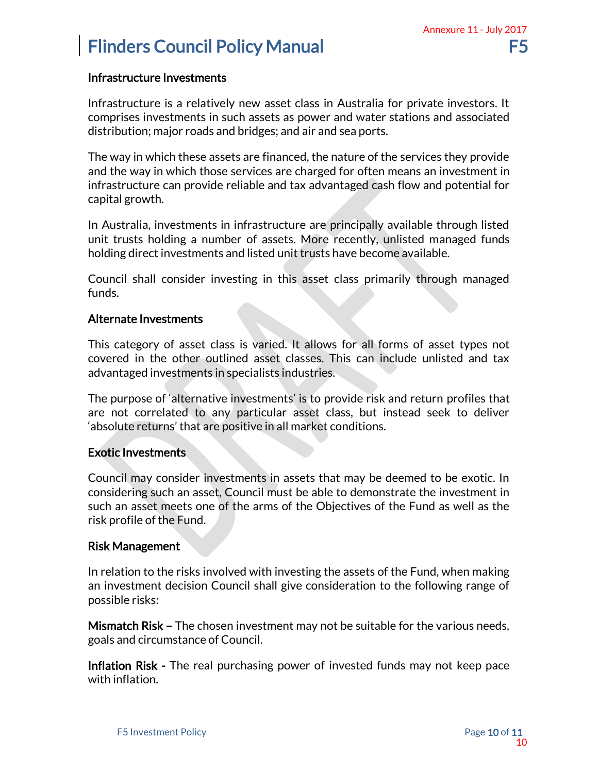#### Infrastructure Investments

Infrastructure is a relatively new asset class in Australia for private investors. It comprises investments in such assets as power and water stations and associated distribution; major roads and bridges; and air and sea ports.

The way in which these assets are financed, the nature of the services they provide and the way in which those services are charged for often means an investment in infrastructure can provide reliable and tax advantaged cash flow and potential for capital growth.

In Australia, investments in infrastructure are principally available through listed unit trusts holding a number of assets. More recently, unlisted managed funds holding direct investments and listed unit trusts have become available.

Council shall consider investing in this asset class primarily through managed funds.

#### Alternate Investments

This category of asset class is varied. It allows for all forms of asset types not covered in the other outlined asset classes. This can include unlisted and tax advantaged investments in specialists industries.

The purpose of 'alternative investments' is to provide risk and return profiles that are not correlated to any particular asset class, but instead seek to deliver 'absolute returns' that are positive in all market conditions.

#### Exotic Investments

Council may consider investments in assets that may be deemed to be exotic. In considering such an asset, Council must be able to demonstrate the investment in such an asset meets one of the arms of the Objectives of the Fund as well as the risk profile of the Fund. Annexure 11 - July 2017<br>
F5<br>
vate investors. It<br>
is and associated<br>
ices they provide<br>
an investment in<br>
and potential for<br>
le through listed<br>
lable.<br>
nrough managed<br>
fasset types not<br>
saset types not<br>
saset types not<br>
unl

#### Risk Management

In relation to the risks involved with investing the assets of the Fund, when making an investment decision Council shall give consideration to the following range of possible risks:

Mismatch Risk – The chosen investment may not be suitable for the various needs, goals and circumstance of Council.

Inflation Risk - The real purchasing power of invested funds may not keep pace with inflation.